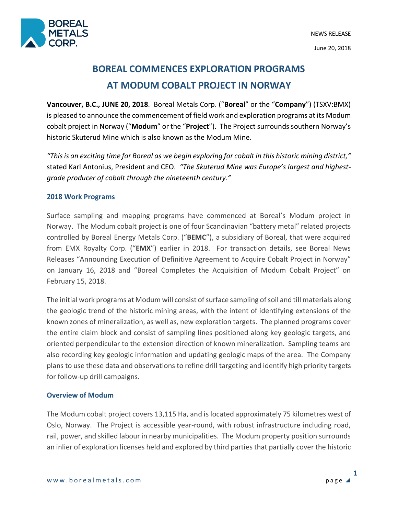

# **BOREAL COMMENCES EXPLORATION PROGRAMS AT MODUM COBALT PROJECT IN NORWAY**

**Vancouver, B.C., JUNE 20, 2018**. Boreal Metals Corp. ("**Boreal**" or the "**Company**") (TSXV:BMX) is pleased to announce the commencement of field work and exploration programs at its Modum cobalt project in Norway ("**Modum**" or the "**Project**"). The Project surrounds southern Norway's historic Skuterud Mine which is also known as the Modum Mine.

*"This is an exciting time for Boreal as we begin exploring for cobalt in this historic mining district,"* stated Karl Antonius, President and CEO. *"The Skuterud Mine was Europe's largest and highestgrade producer of cobalt through the nineteenth century."*

## **2018 Work Programs**

Surface sampling and mapping programs have commenced at Boreal's Modum project in Norway. The Modum cobalt project is one of four Scandinavian "battery metal" related projects controlled by Boreal Energy Metals Corp. ("**BEMC**"), a subsidiary of Boreal, that were acquired from EMX Royalty Corp. ("**EMX**") earlier in 2018. For transaction details, see Boreal News Releases "Announcing Execution of Definitive Agreement to Acquire Cobalt Project in Norway" on January 16, 2018 and "Boreal Completes the Acquisition of Modum Cobalt Project" on February 15, 2018.

The initial work programs at Modum will consist of surface sampling of soil and till materials along the geologic trend of the historic mining areas, with the intent of identifying extensions of the known zones of mineralization, as well as, new exploration targets. The planned programs cover the entire claim block and consist of sampling lines positioned along key geologic targets, and oriented perpendicular to the extension direction of known mineralization. Sampling teams are also recording key geologic information and updating geologic maps of the area. The Company plans to use these data and observations to refine drill targeting and identify high priority targets for follow-up drill campaigns.

# **Overview of Modum**

The Modum cobalt project covers 13,115 Ha, and is located approximately 75 kilometres west of Oslo, Norway. The Project is accessible year-round, with robust infrastructure including road, rail, power, and skilled labour in nearby municipalities. The Modum property position surrounds an inlier of exploration licenses held and explored by third parties that partially cover the historic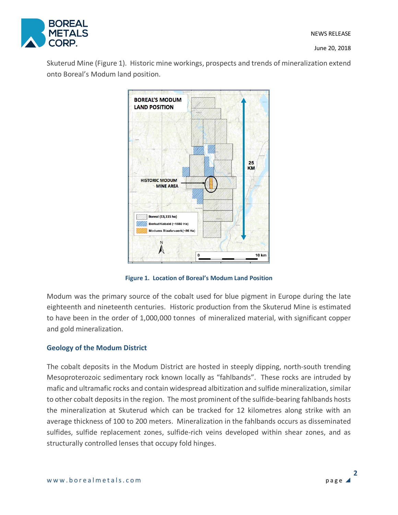

June 20, 2018

Skuterud Mine (Figure 1). Historic mine workings, prospects and trends of mineralization extend onto Boreal's Modum land position.



**Figure 1. Location of Boreal's Modum Land Position**

Modum was the primary source of the cobalt used for blue pigment in Europe during the late eighteenth and nineteenth centuries. Historic production from the Skuterud Mine is estimated to have been in the order of 1,000,000 tonnes of mineralized material, with significant copper and gold mineralization.

# **Geology of the Modum District**

The cobalt deposits in the Modum District are hosted in steeply dipping, north-south trending Mesoproterozoic sedimentary rock known locally as "fahlbands". These rocks are intruded by mafic and ultramafic rocks and contain widespread albitization and sulfide mineralization, similar to other cobalt deposits in the region. The most prominent of the sulfide-bearing fahlbands hosts the mineralization at Skuterud which can be tracked for 12 kilometres along strike with an average thickness of 100 to 200 meters. Mineralization in the fahlbands occurs as disseminated sulfides, sulfide replacement zones, sulfide-rich veins developed within shear zones, and as structurally controlled lenses that occupy fold hinges.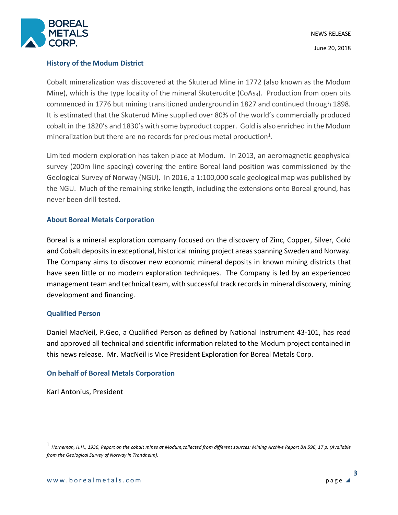

### **History of the Modum District**

Cobalt mineralization was discovered at the Skuterud Mine in 1772 (also known as the Modum Mine), which is the type locality of the mineral Skuterudite (CoAs<sub>3</sub>). Production from open pits commenced in 1776 but mining transitioned underground in 1827 and continued through 1898. It is estimated that the Skuterud Mine supplied over 80% of the world's commercially produced cobalt in the 1820's and 1830's with some byproduct copper. Gold is also enriched in the Modum mineralization but there are no records for precious metal production<sup>1</sup>.

Limited modern exploration has taken place at Modum. In 2013, an aeromagnetic geophysical survey (200m line spacing) covering the entire Boreal land position was commissioned by the Geological Survey of Norway (NGU). In 2016, a 1:100,000 scale geological map was published by the NGU. Much of the remaining strike length, including the extensions onto Boreal ground, has never been drill tested.

#### **About Boreal Metals Corporation**

Boreal is a mineral exploration company focused on the discovery of Zinc, Copper, Silver, Gold and Cobalt deposits in exceptional, historical mining project areas spanning Sweden and Norway. The Company aims to discover new economic mineral deposits in known mining districts that have seen little or no modern exploration techniques. The Company is led by an experienced management team and technical team, with successful track records in mineral discovery, mining development and financing.

#### **Qualified Person**

Daniel MacNeil, P.Geo, a Qualified Person as defined by National Instrument 43-101, has read and approved all technical and scientific information related to the Modum project contained in this news release. Mr. MacNeil is Vice President Exploration for Boreal Metals Corp.

## **On behalf of Boreal Metals Corporation**

Karl Antonius, President

 <sup>1</sup> *Horneman, H.H., 1936, Report on the cobalt mines at Modum,collected from different sources: Mining Archive Report BA 596, 17 p. (Available from the Geological Survey of Norway in Trondheim).*